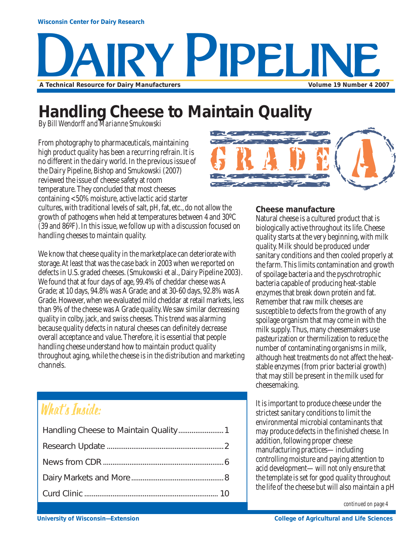# **YY PIPELIN A Technical Resource for Dairy Manufacturers Volume 19 Number 4 2007**

## **Handling Cheese to Maintain Quality**

*By Bill Wendorff and Marianne Smukowski*

From photography to pharmaceuticals, maintaining high product quality has been a recurring refrain. It is no different in the dairy world. In the previous issue of the Dairy Pipeline, Bishop and Smukowski (2007) reviewed the issue of cheese safety at room temperature. They concluded that most cheeses containing <50% moisture, active lactic acid starter



cultures, with traditional levels of salt, pH, fat, etc., do not allow the growth of pathogens when held at temperatures between 4 and 30ºC (39 and 86ºF). In this issue, we follow up with a discussion focused on handling cheeses to maintain quality.

We know that cheese quality in the marketplace can deteriorate with storage. At least that was the case back in 2003 when we reported on defects in U.S. graded cheeses. (Smukowski et al., Dairy Pipeline 2003). We found that at four days of age, 99.4% of cheddar cheese was A Grade; at 10 days, 94.8% was A Grade; and at 30-60 days, 92.8% was A Grade. However, when we evaluated mild cheddar at retail markets, less than 9% of the cheese was A Grade quality. We saw similar decreasing quality in colby, jack, and swiss cheeses. This trend was alarming because quality defects in natural cheeses can definitely decrease overall acceptance and value. Therefore, it is essential that people handling cheese understand how to maintain product quality throughout aging, while the cheese is in the distribution and marketing channels.

## What's Inside:

#### **Cheese manufacture**

Natural cheese is a cultured product that is biologically active throughout its life. Cheese quality starts at the very beginning, with milk quality. Milk should be produced under sanitary conditions and then cooled properly at the farm. This limits contamination and growth of spoilage bacteria and the pyschrotrophic bacteria capable of producing heat-stable enzymes that break down protein and fat. Remember that raw milk cheeses are susceptible to defects from the growth of any spoilage organism that may come in with the milk supply. Thus, many cheesemakers use pasteurization or thermilization to reduce the number of contaminating organisms in milk, although heat treatments do not affect the heatstable enzymes (from prior bacterial growth) that may still be present in the milk used for cheesemaking.

It is important to produce cheese under the strictest sanitary conditions to limit the environmental microbial contaminants that may produce defects in the finished cheese. In addition, following proper cheese manufacturing practices—including controlling moisture and paying attention to acid development—will not only ensure that the template is set for good quality throughout the life of the cheese but will also maintain a pH

*continued on page 4*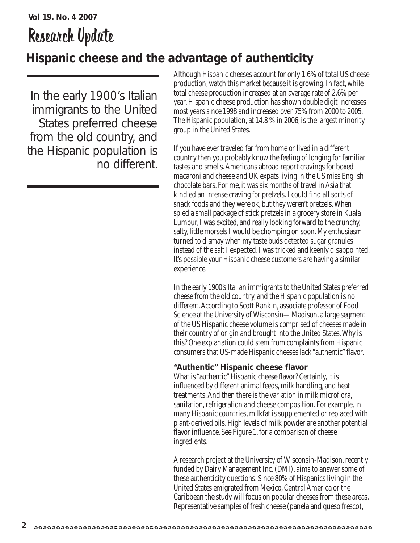## **Vol 19. No. 4 2007** Research Update

### **Hispanic cheese and the advantage of authenticity**

In the early 1900's Italian immigrants to the United States preferred cheese from the old country, and the Hispanic population is no different. Although Hispanic cheeses account for only 1.6% of total US cheese production, watch this market because it is growing. In fact, while total cheese production increased at an average rate of 2.6% per year, Hispanic cheese production has shown double digit increases most years since 1998 and increased over 75% from 2000 to 2005. The Hispanic population, at 14.8 % in 2006, is the largest minority group in the United States.

If you have ever traveled far from home or lived in a different country then you probably know the feeling of longing for familiar tastes and smells. Americans abroad report cravings for boxed macaroni and cheese and UK expats living in the US miss English chocolate bars. For me, it was six months of travel in Asia that kindled an intense craving for pretzels. I could find all sorts of snack foods and they were ok, but they weren't pretzels. When I spied a small package of stick pretzels in a grocery store in Kuala Lumpur, I was excited, and really looking forward to the crunchy, salty, little morsels I would be chomping on soon. My enthusiasm turned to dismay when my taste buds detected sugar granules instead of the salt I expected. I was tricked and keenly disappointed. It's possible your Hispanic cheese customers are having a similar experience.

In the early 1900's Italian immigrants to the United States preferred cheese from the old country, and the Hispanic population is no different. According to Scott Rankin, associate professor of Food Science at the University of Wisconsin—Madison, a large segment of the US Hispanic cheese volume is comprised of cheeses made in their country of origin and brought into the United States. Why is this? One explanation could stem from complaints from Hispanic consumers that US-made Hispanic cheeses lack "authentic" flavor.

#### **"Authentic" Hispanic cheese flavor**

What is "authentic" Hispanic cheese flavor? Certainly, it is influenced by different animal feeds, milk handling, and heat treatments. And then there is the variation in milk microflora, sanitation, refrigeration and cheese composition. For example, in many Hispanic countries, milkfat is supplemented or replaced with plant-derived oils. High levels of milk powder are another potential flavor influence. See Figure 1. for a comparison of cheese ingredients.

A research project at the University of Wisconsin-Madison, recently funded by Dairy Management Inc. (DMI), aims to answer some of these authenticity questions. Since 80% of Hispanics living in the United States emigrated from Mexico, Central America or the Caribbean the study will focus on popular cheeses from these areas. Representative samples of fresh cheese (panela and queso fresco),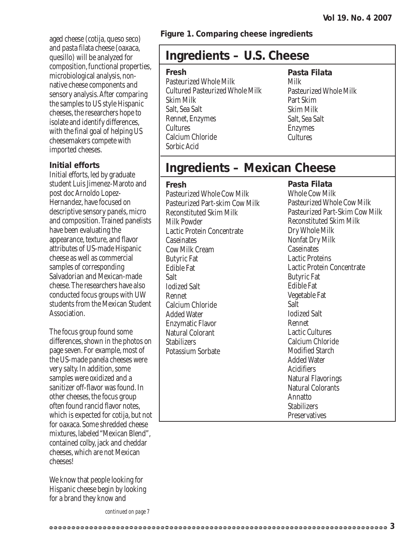aged cheese (cotija, queso seco) and pasta filata cheese (oaxaca, quesillo) will be analyzed for composition, functional properties, microbiological analysis, nonnative cheese components and sensory analysis. After comparing the samples to US style Hispanic cheeses, the researchers hope to isolate and identify differences, with the final goal of helping US cheesemakers compete with imported cheeses.

#### **Initial efforts**

Initial efforts, led by graduate student Luis Jimenez-Maroto and post doc Arnoldo Lopez-Hernandez, have focused on descriptive sensory panels, micro and composition. Trained panelists have been evaluating the appearance, texture, and flavor attributes of US-made Hispanic cheese as well as commercial samples of corresponding Salvadorian and Mexican-made cheese. The researchers have also conducted focus groups with UW students from the Mexican Student Association.

The focus group found some differences, shown in the photos on page seven. For example, most of the US-made panela cheeses were very salty. In addition, some samples were oxidized and a sanitizer off-flavor was found. In other cheeses, the focus group often found rancid flavor notes, which is expected for cotija, but not for oaxaca. Some shredded cheese mixtures, labeled "Mexican Blend", contained colby, jack and cheddar cheeses, which are not Mexican cheeses!

We know that people looking for Hispanic cheese begin by looking for a brand they know and

**Figure 1. Comparing cheese ingredients**

### **Ingredients – U.S. Cheese**

#### **Fresh**

Pasteurized Whole Milk Cultured Pasteurized Whole Milk Skim Milk Salt, Sea Salt Rennet, Enzymes Cultures Calcium Chloride Sorbic Acid

#### **Pasta Filata** Milk

Pasteurized Whole Milk Part Skim Skim Milk Salt, Sea Salt Enzymes **Cultures** 

### **Ingredients – Mexican Cheese**

#### **Fresh**

Pasteurized Whole Cow Milk Pasteurized Part-skim Cow Milk Reconstituted Skim Milk Milk Powder Lactic Protein Concentrate **Caseinates** Cow Milk Cream Butyric Fat Edible Fat Salt Iodized Salt Rennet Calcium Chloride Added Water Enzymatic Flavor Natural Colorant **Stabilizers** Potassium Sorbate

**Pasta Filata** Whole Cow Milk Pasteurized Whole Cow Milk Pasteurized Part-Skim Cow Milk Reconstituted Skim Milk Dry Whole Milk Nonfat Dry Milk **Caseinates** Lactic Proteins Lactic Protein Concentrate Butyric Fat Edible Fat Vegetable Fat Salt Iodized Salt Rennet Lactic Cultures Calcium Chloride Modified Starch Added Water Acidifiers Natural Flavorings Natural Colorants Annatto **Stabilizers** 

Preservatives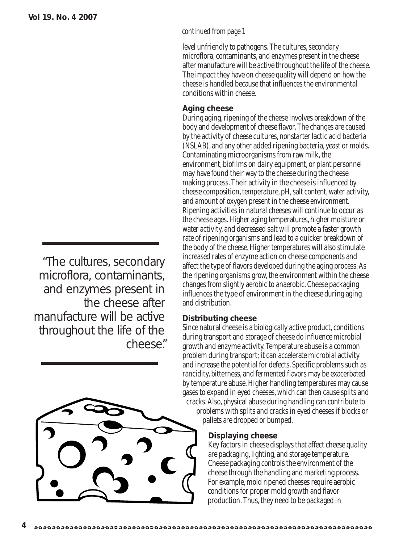### " cheese."The cultures, secondary microflora, contaminants, and enzymes present in the cheese after manufacture will be active throughout the life of the



#### *continued from page 1*

level unfriendly to pathogens. The cultures, secondary microflora, contaminants, and enzymes present in the cheese after manufacture will be active throughout the life of the cheese. The impact they have on cheese quality will depend on how the cheese is handled because that influences the environmental conditions within cheese.

#### **Aging cheese**

During aging, ripening of the cheese involves breakdown of the body and development of cheese flavor. The changes are caused by the activity of cheese cultures, nonstarter lactic acid bacteria (NSLAB), and any other added ripening bacteria, yeast or molds. Contaminating microorganisms from raw milk, the environment, biofilms on dairy equipment, or plant personnel may have found their way to the cheese during the cheese making process. Their activity in the cheese is influenced by cheese composition, temperature, pH, salt content, water activity, and amount of oxygen present in the cheese environment. Ripening activities in natural cheeses will continue to occur as the cheese ages. Higher aging temperatures, higher moisture or water activity, and decreased salt will promote a faster growth rate of ripening organisms and lead to a quicker breakdown of the body of the cheese. Higher temperatures will also stimulate increased rates of enzyme action on cheese components and affect the type of flavors developed during the aging process. As the ripening organisms grow, the environment within the cheese changes from slightly aerobic to anaerobic. Cheese packaging influences the type of environment in the cheese during aging and distribution.

#### **Distributing cheese**

Since natural cheese is a biologically active product, conditions during transport and storage of cheese do influence microbial growth and enzyme activity. Temperature abuse is a common problem during transport; it can accelerate microbial activity and increase the potential for defects. Specific problems such as rancidity, bitterness, and fermented flavors may be exacerbated by temperature abuse. Higher handling temperatures may cause gases to expand in eyed cheeses, which can then cause splits and cracks. Also, physical abuse during handling can contribute to

problems with splits and cracks in eyed cheeses if blocks or pallets are dropped or bumped.

#### **Displaying cheese**

Key factors in cheese displays that affect cheese quality are packaging, lighting, and storage temperature. Cheese packaging controls the environment of the cheese through the handling and marketing process. For example, mold ripened cheeses require aerobic conditions for proper mold growth and flavor production. Thus, they need to be packaged in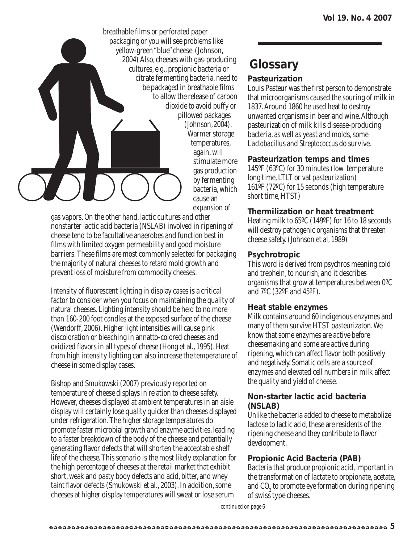

Warmer storage temperatures, stimulate more gas production by fermenting bacteria, which expansion of

gas vapors. On the other hand, lactic cultures and other nonstarter lactic acid bacteria (NSLAB) involved in ripening of cheese tend to be facultative anaerobes and function best in films with limited oxygen permeability and good moisture barriers. These films are most commonly selected for packaging the majority of natural cheeses to retard mold growth and prevent loss of moisture from commodity cheeses.

Intensity of fluorescent lighting in display cases is a critical factor to consider when you focus on maintaining the quality of natural cheeses. Lighting intensity should be held to no more than 160-200 foot candles at the exposed surface of the cheese (Wendorff, 2006). Higher light intensities will cause pink discoloration or bleaching in annatto-colored cheeses and oxidized flavors in all types of cheese (Hong et al., 1995). Heat from high intensity lighting can also increase the temperature of cheese in some display cases.

Bishop and Smukowski (2007) previously reported on temperature of cheese displays in relation to cheese safety. However, cheeses displayed at ambient temperatures in an aisle display will certainly lose quality quicker than cheeses displayed under refrigeration. The higher storage temperatures do promote faster microbial growth and enzyme activities, leading to a faster breakdown of the body of the cheese and potentially generating flavor defects that will shorten the acceptable shelf life of the cheese. This scenario is the most likely explanation for the high percentage of cheeses at the retail market that exhibit short, weak and pasty body defects and acid, bitter, and whey taint flavor defects (Smukowski et al., 2003). In addition, some cheeses at higher display temperatures will sweat or lose serum

### **Glossary**

#### **Pasteurization**

Louis Pasteur was the first person to demonstrate that microorganisms caused the souring of milk in 1837. Around 1860 he used heat to destroy unwanted organisms in beer and wine. Although pasteurization of milk kills disease-producing bacteria, as well as yeast and molds, some *Lactobacillus* and *Streptococcus* do survive.

#### **Pasteurization temps and times**

145ºF (63ºC) for 30 minutes (low temperature long time, LTLT or vat pasteurization) 161ºF (72ºC) for 15 seconds (high temperature short time, HTST)

#### **Thermilization or heat treatment**

Heating milk to 65ºC (149ºF) for 16 to 18 seconds will destroy pathogenic organisms that threaten cheese safety. (Johnson et al, 1989)

#### **Psychrotropic**

This word is derived from psychros meaning cold and trephein, to nourish, and it describes organisms that grow at temperatures between 0ºC and 7ºC (32ºF and 45ºF).

#### **Heat stable enzymes**

Milk contains around 60 indigenous enzymes and many of them survive HTST pasteurizaton. We know that some enzymes are active before cheesemaking and some are active during ripening, which can affect flavor both positively and negatively. Somatic cells are a source of enzymes and elevated cell numbers in milk affect the quality and yield of cheese.

#### **Non-starter lactic acid bacteria (NSLAB)**

Unlike the bacteria added to cheese to metabolize lactose to lactic acid, these are residents of the ripening cheese and they contribute to flavor development.

#### **Propionic Acid Bacteria (PAB)**

Bacteria that produce propionic acid, important in the transformation of lactate to propionate, acetate, and  $\mathrm{CO}_2$  to promote eye formation during ripening of swiss type cheeses.

*continued on page 6*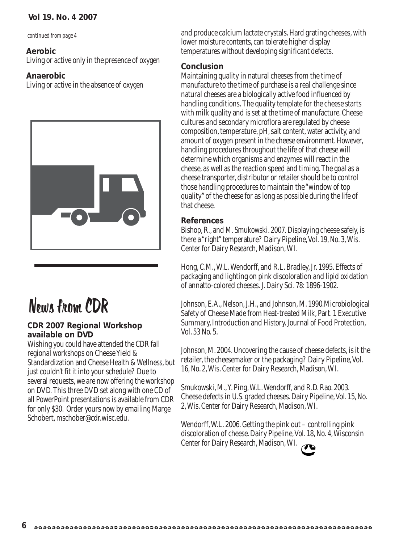#### **Vol 19. No. 4 2007**

*continued from page 4*

#### **Aerobic**

Living or active only in the presence of oxygen

#### **Anaerobic**

Living or active in the absence of oxygen



## News from CDR

#### **CDR 2007 Regional Workshop available on DVD**

Wishing you could have attended the CDR fall regional workshops on Cheese Yield & Standardization and Cheese Health & Wellness, but just couldn't fit it into your schedule? Due to several requests, we are now offering the workshop on DVD. This three DVD set along with one CD of all PowerPoint presentations is available from CDR for only \$30. Order yours now by emailing Marge Schobert, mschober@cdr.wisc.edu.

and produce calcium lactate crystals. Hard grating cheeses, with lower moisture contents, can tolerate higher display temperatures without developing significant defects.

#### **Conclusion**

Maintaining quality in natural cheeses from the time of manufacture to the time of purchase is a real challenge since natural cheeses are a biologically active food influenced by handling conditions. The quality template for the cheese starts with milk quality and is set at the time of manufacture. Cheese cultures and secondary microflora are regulated by cheese composition, temperature, pH, salt content, water activity, and amount of oxygen present in the cheese environment. However, handling procedures throughout the life of that cheese will determine which organisms and enzymes will react in the cheese, as well as the reaction speed and timing. The goal as a cheese transporter, distributor or retailer should be to control those handling procedures to maintain the "window of top quality" of the cheese for as long as possible during the life of that cheese.

#### **References**

Bishop, R., and M. Smukowski. 2007. Displaying cheese safely, is there a "right" temperature? Dairy Pipeline, Vol. 19, No. 3, Wis. Center for Dairy Research, Madison, WI.

Hong, C.M., W.L. Wendorff, and R.L. Bradley, Jr. 1995. Effects of packaging and lighting on pink discoloration and lipid oxidation of annatto-colored cheeses. J. Dairy Sci. 78: 1896-1902.

Johnson, E.A., Nelson, J.H., and Johnson, M. 1990.Microbiological Safety of Cheese Made from Heat-treated Milk, Part. 1 Executive Summary, Introduction and History. Journal of Food Protection, Vol. 53 No. 5.

Johnson, M. 2004. Uncovering the cause of cheese defects, is it the retailer, the cheesemaker or the packaging? Dairy Pipeline, Vol. 16, No. 2, Wis. Center for Dairy Research, Madison, WI.

Smukowski, M., Y. Ping, W.L. Wendorff, and R.D. Rao. 2003. Cheese defects in U.S. graded cheeses. Dairy Pipeline, Vol. 15, No. 2, Wis. Center for Dairy Research, Madison, WI.

Wendorff, W.L. 2006. Getting the pink out – controlling pink discoloration of cheese. Dairy Pipeline, Vol. 18, No. 4, Wisconsin Center for Dairy Research, Madison, WI.

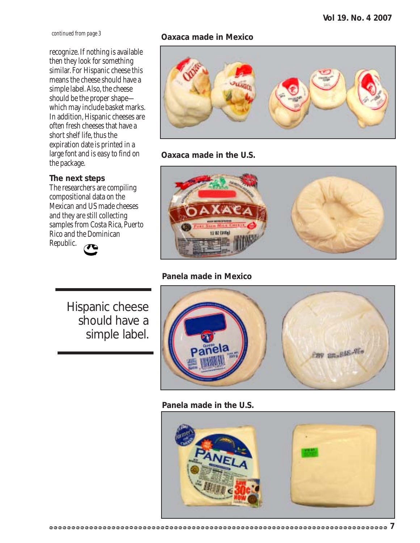*continued from page 3*

recognize. If nothing is available then they look for something similar. For Hispanic cheese this means the cheese should have a simple label. Also, the cheese should be the proper shape which may include basket marks. In addition, Hispanic cheeses are often fresh cheeses that have a short shelf life, thus the expiration date is printed in a large font and is easy to find on the package.

#### **The next steps**

The researchers are compiling compositional data on the Mexican and US made cheeses and they are still collecting samples from Costa Rica, Puerto Rico and the Dominican Republic.



#### **Oaxaca made in Mexico**



#### **Oaxaca made in the U.S.**



#### **Panela made in Mexico**

Hispanic cheese should have a simple label.



#### **Panela made in the U.S.**

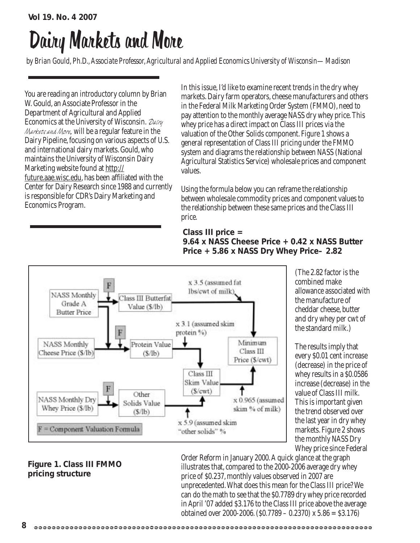# Dairy Markets and More

*by Brian Gould, Ph.D., Associate Professor, Agricultural and Applied Economics University of Wisconsin—Madison*

You are reading an introductory column by Brian W. Gould, an Associate Professor in the Department of Agricultural and Applied Economics at the University of Wisconsin.  $\mathcal{D}_{\text{diff}}$ Markets and More, will be a regular feature in the Dairy Pipeline, focusing on various aspects of U.S. and international dairy markets. Gould, who maintains the University of Wisconsin Dairy Marketing website found at http:// future.aae.wisc.edu, has been affiliated with the Center for Dairy Research since 1988 and currently is responsible for CDR's Dairy Marketing and Economics Program.

In this issue, I'd like to examine recent trends in the dry whey markets. Dairy farm operators, cheese manufacturers and others in the Federal Milk Marketing Order System (FMMO), need to pay attention to the monthly average NASS dry whey price. This whey price has a direct impact on Class III prices via the valuation of the Other Solids component. Figure 1 shows a general representation of Class III pricing under the FMMO system and diagrams the relationship between NASS (National Agricultural Statistics Service) wholesale prices and component values.

Using the formula below you can reframe the relationship between wholesale commodity prices and component values to the relationship between these same prices and the Class III price.

#### **Class III price = 9.64 x NASS Cheese Price + 0.42 x NASS Butter Price + 5.86 x NASS Dry Whey Price– 2.82**



(The 2.82 factor is the combined make allowance associated with the manufacture of cheddar cheese, butter and dry whey per cwt of the standard milk.)

The results imply that every \$0.01 cent increase (decrease) in the price of whey results in a \$0.0586 increase (decrease) in the value of Class III milk. This is important given the trend observed over the last year in dry whey markets. Figure 2 shows the monthly NASS Dry Whey price since Federal

#### **Figure 1. Class III FMMO pricing structure**

Order Reform in January 2000. A quick glance at the graph illustrates that, compared to the 2000-2006 average dry whey price of \$0.237, monthly values observed in 2007 are unprecedented. What does this mean for the Class III price? We can do the math to see that the \$0.7789 dry whey price recorded in April '07 added \$3.176 to the Class III price above the average obtained over 2000-2006. (\$0.7789 – 0.2370) x 5.86 = \$3.176)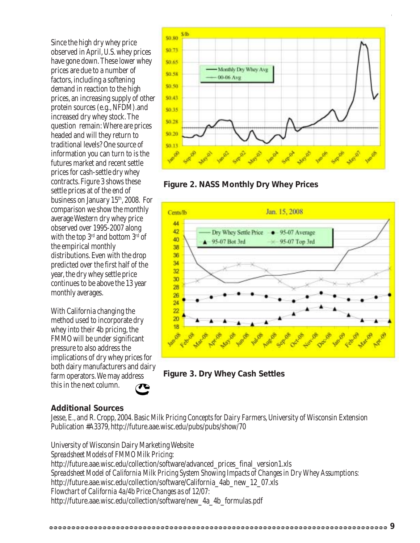Since the high dry whey price observed in April, U.S. whey prices have gone down. These lower whey prices are due to a number of factors, including a softening demand in reaction to the high prices, an increasing supply of other protein sources (e.g., NFDM).and increased dry whey stock. The question remain: Where are prices headed and will they return to traditional levels? One source of information you can turn to is the futures market and recent settle prices for cash-settle dry whey contracts. Figure 3 shows these settle prices at of the end of business on January 15<sup>th</sup>, 2008. For comparison we show the monthly average Western dry whey price observed over 1995-2007 along with the top 3<sup>rd</sup> and bottom 3<sup>rd</sup> of the empirical monthly distributions. Even with the drop predicted over the first half of the year, the dry whey settle price continues to be above the 13 year monthly averages.

With California changing the method used to incorporate dry whey into their 4b pricing, the FMMO will be under significant pressure to also address the implications of dry whey prices for both dairy manufacturers and dairy farm operators. We may address this in the next column.









#### **Additional Sources**

Jesse, E., and R. Cropp, 2004. Basic *Milk Pricing Concepts for Dairy Farmers*, University of Wisconsin Extension Publication #A3379, http://future.aae.wisc.edu/pubs/pubs/show/70

University of Wisconsin Dairy Marketing Website *Spreadsheet Models of FMMO Milk Pricing*: http://future.aae.wisc.edu/collection/software/advanced\_prices\_final\_version1.xls *Spreadsheet Model of California Milk Pricing System Showing Impacts of Changes in Dry Whey Assumptions:* http://future.aae.wisc.edu/collection/software/California\_4ab\_new\_12\_07.xls *Flowchart of California 4a/4b Price Changes as of 12/07:* http://future.aae.wisc.edu/collection/software/new\_4a\_4b\_formulas.pdf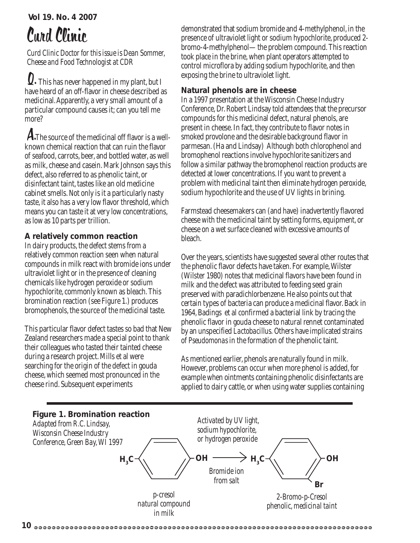**Vol 19. No. 4 2007**

# Curd Clinic

*Curd Clinic Doctor for this issue is Dean Sommer, Cheese and Food Technologist at CDR*

Q. This has never happened in my plant, but I have heard of an off-flavor in cheese described as medicinal. Apparently, a very small amount of a particular compound causes it; can you tell me more?

A.The source of the medicinal off flavor is a wellknown chemical reaction that can ruin the flavor of seafood, carrots, beer, and bottled water, as well as milk, cheese and casein. Mark Johnson says this defect, also referred to as phenolic taint, or disinfectant taint, tastes like an old medicine cabinet smells. Not only is it a particularly nasty taste, it also has a very low flavor threshold, which means you can taste it at very low concentrations, as low as 10 parts per trillion.

#### **A relatively common reaction**

In dairy products, the defect stems from a relatively common reaction seen when natural compounds in milk react with bromide ions under ultraviolet light or in the presence of cleaning chemicals like hydrogen peroxide or sodium hypochlorite, commonly known as bleach. This bromination reaction (see Figure 1.) produces bromophenols, the source of the medicinal taste.

This particular flavor defect tastes so bad that New Zealand researchers made a special point to thank their colleagues who tasted their tainted cheese during a research project. Mills et al were searching for the origin of the defect in gouda cheese, which seemed most pronounced in the cheese rind. Subsequent experiments

demonstrated that sodium bromide and 4-methylphenol, in the presence of ultraviolet light or sodium hypochlorite, produced 2 bromo-4-methylphenol—the problem compound. This reaction took place in the brine, when plant operators attempted to control microflora by adding sodium hypochlorite, and then exposing the brine to ultraviolet light.

#### **Natural phenols are in cheese**

In a 1997 presentation at the Wisconsin Cheese Industry Conference, Dr. Robert Lindsay told attendees that the precursor compounds for this medicinal defect, natural phenols, are present in cheese. In fact, they contribute to flavor notes in smoked provolone and the desirable background flavor in parmesan. (Ha and Lindsay) Although both chlorophenol and bromophenol reactions involve hypochlorite sanitizers and follow a similar pathway the bromophenol reaction products are detected at lower concentrations. If you want to prevent a problem with medicinal taint then eliminate hydrogen peroxide, sodium hypochlorite and the use of UV lights in brining.

Farmstead cheesemakers can (and have) inadvertently flavored cheese with the medicinal taint by setting forms, equipment, or cheese on a wet surface cleaned with excessive amounts of bleach.

Over the years, scientists have suggested several other routes that the phenolic flavor defects have taken. For example, Wilster (Wilster 1980) notes that medicinal flavors have been found in milk and the defect was attributed to feeding seed grain preserved with paradichlorbenzene. He also points out that certain types of bacteria can produce a medicinal flavor. Back in 1964, Badings et al confirmed a bacterial link by tracing the phenolic flavor in gouda cheese to natural rennet contaminated by an unspecified *Lactobacillus.* Others have implicated strains of *Pseudomonas* in the formation of the phenolic taint.

As mentioned earlier, phenols are naturally found in milk. However, problems can occur when more phenol is added, for example when ointments containing phenolic disinfectants are applied to dairy cattle, or when using water supplies containing

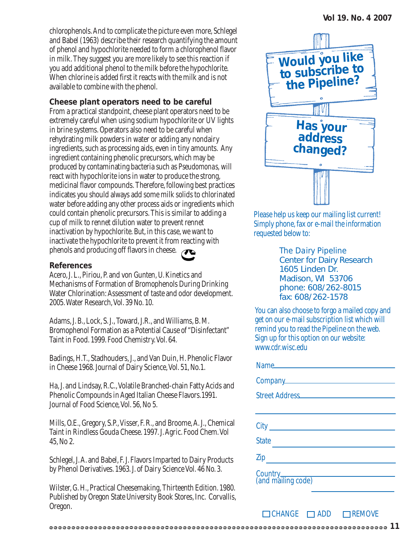chlorophenols. And to complicate the picture even more, Schlegel and Babel (1963) describe their research quantifying the amount of phenol and hypochlorite needed to form a chlorophenol flavor in milk. They suggest you are more likely to see this reaction if you add additional phenol to the milk before the hypochlorite. When chlorine is added first it reacts with the milk and is not available to combine with the phenol.

#### **Cheese plant operators need to be careful**

From a practical standpoint, cheese plant operators need to be extremely careful when using sodium hypochlorite or UV lights in brine systems. Operators also need to be careful when rehydrating milk powders in water or adding any nondairy ingredients, such as processing aids, even in tiny amounts. Any ingredient containing phenolic precursors, which may be produced by contaminating bacteria such as *Pseudomonas,* will react with hypochlorite ions in water to produce the strong, medicinal flavor compounds. Therefore, following best practices indicates you should always add some milk solids to chlorinated water before adding any other process aids or ingredients which could contain phenolic precursors. This is similar to adding a cup of milk to rennet dilution water to prevent rennet inactivation by hypochlorite. But, in this case, we want to inactivate the hypochlorite to prevent it from reacting with phenols and producing off flavors in cheese.

#### **References**

Acero, J. L., Piriou, P. and von Gunten, U. Kinetics and Mechanisms of Formation of Bromophenols During Drinking Water Chlorination: Assessment of taste and odor development. 2005. Water Research, Vol. 39 No. 10.

Adams, J. B., Lock, S. J., Toward, J.R., and Williams, B. M. Bromophenol Formation as a Potential Cause of "Disinfectant" Taint in Food. 1999. Food Chemistry. Vol. 64.

Badings, H.T., Stadhouders, J., and Van Duin, H. Phenolic Flavor in Cheese 1968. Journal of Dairy Science, Vol. 51, No.1.

Ha, J. and Lindsay, R.C., Volatile Branched-chain Fatty Acids and Phenolic Compounds in Aged Italian Cheese Flavors.1991. Journal of Food Science, Vol. 56, No 5.

Mills, O.E., Gregory, S.P., Visser, F. R., and Broome, A. J., Chemical Taint in Rindless Gouda Cheese. 1997. J. Agric. Food Chem. Vol 45, No 2.

Schlegel, J. A. and Babel, F. J. Flavors Imparted to Dairy Products by Phenol Derivatives. 1963. J. of Dairy Science Vol. 46 No. 3.

Wilster, G. H., Practical Cheesemaking, Thirteenth Edition. 1980. Published by Oregon State University Book Stores, Inc. Corvallis, Oregon.



Please help us keep our mailing list current! Simply phone, fax or e-mail the information requested below to:

> *The Dairy Pipeline* Center for Dairy Research 1605 Linden Dr. Madison, WI 53706 phone: 608/262-8015 fax: 608/262-1578

You can also choose to forgo a mailed copy and get on our e-mail subscription list which will remind you to read the Pipeline on the web. Sign up for this option on our website: www.cdr.wisc.edu

| Name                                                        |
|-------------------------------------------------------------|
| Company<br><u>company</u>                                   |
|                                                             |
|                                                             |
|                                                             |
| <b>State</b><br><u> 1989 - Johann Barnett, fransk konge</u> |
| Zip                                                         |
| Country<br>(and mailing code)                               |

 $\Box$ CHANGE  $\Box$ ADD  $\Box$ REMOVE